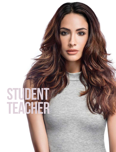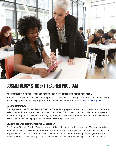

# COSMETOLOGY Student teacher PROGRAM

### **27 SEMESTER CREDIT HOUR COSMETOLOGY STUDENT TEACHER PROGRAM**

Students can expect to complete this program in two semesters attending full-time and are in satisfactory academic progress. Additional program information may be found online at [www.texarkanacollege.edu](http://www.texarkanacollege.edu)

#### **Course Objectives**

The objective of the Student Teacher Training Course is to prepare the licensed professional to become a well-trained and well- rounded teaching professional. Pivot Point strives to teach a variety of techniques and principles that graduates will be able to rely on throughout their teaching career. Students in this course will also receive assistance in preparation for the state licensing examination.

#### **Student Teacher Training Course Description**

The Student Teacher Training Course consists of theoretical and practical instruction. The teacher trainees demonstrate their knowledge of all subject matter in theory and application, through the completion of required written and practical applications. This curriculum and course of study are designed to instruct a teacher trainee in basic teaching methods and Mindful Teaching while instructing with the latest in interactive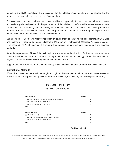education and DVD technology. It is anticipated, for the effective implementation of this course, that the trainee is proficient in the art and practice of cosmetology.

Following sound training principles, the course provides an opportunity for each teacher trainee to observe and assist experienced teachers in the performance of their duties, to perform skill demonstrations, to have supervised practice teaching and to thoroughly study the principles of teaching. The course permits the trainees to apply, in a classroom atmosphere, the practices and theories to which they are exposed in the course while under the supervision of a licensed educator.

During **Phase 1** students will receive instruction on seven modules including Mindful Teaching, Brain Basics and Learning, Preparing to Teach, Classroom Management, Instructional Methods, Assessing Learner Progress, and The Art of Teaching. This phase will also review the state licensing requirements and business methods.

As students progress to **Phase 2** they will begin shadowing under the direction of a licensed instructor in the classroom and student salon environment training on all areas of the cosmetology course. Students will also begin to prepare for the state licensing written and practical exams.

Supplemental book required for this course: Milady Master Educator Student Course Book / Exam Review

#### **Instructional Methods**

Within the course, students will be taught through audiovisual presentations, lectures, demonstrations, practical hands- on experiences, question-and-answer sessions, discussions, and written practical testing.

# **COSMETOLOGY**

#### INSTRUCTOR PROGRAM

| <b>First Semester</b>                                   | <b>Hours</b>   |
|---------------------------------------------------------|----------------|
| CSME 1435 Orientation of the Instruction of Cosmetology | 4              |
| CSME 1534 Cosmetology Instructor I                      | 5              |
| CSME 2414 Cosmetology Instructor II                     | $\overline{4}$ |
| <b>Total</b>                                            | 13             |
| <b>Second Semester</b>                                  | <b>Hours</b>   |
| <b>CSME 2515 Cosmetology Instructor III</b>             | 5              |
| CSME 2445 Instructional Theory & Clinic Operation       | $\overline{4}$ |
| CSME 2544 Cosmetology Instructor IV                     | 5              |
| <b>Total</b>                                            | 14             |

**Total Hours: 27 SCH** 

\*Please note that the courses may be subject to change and re-order at the discretion of Texarkana College and in consultation with the Education Department.

\*Instructor students must receive 27 SCH by completing all courses and attending each semester in full before graduating.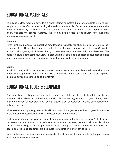# EDUCATIONAL MATERIALS

Texarkana College Cosmetology offers a highly interactive system that allows students to move from simple to complex. Our modular training aids and conceptual tools offer students unique and creative methods of discovery. These tools help create a foundation for the student to be able to predict and to clearly visualize the desired outcome. This step-by-step process is one reason why Pivot Point graduates are so successful.

### **Textbooks**

Pivot Point International, Inc. publishes downloadable textbooks for students to receive during their course of study. These ebooks are filled with step-by-step photographs and illustrations. Supporting audio-visual programs, which relate directly to these textbooks, are used within the classroom. This helps to ensure a consistent education. Textbooks not only give a solid educational foundation but also create a reference library that can be used throughout one's education and career.

### **Online**

In addition to educational text's issued, student have access to a wide variety of educational resource materials through Pivot Point LAB and Wella Interactive. Both require the use of an approved electronic device and connection to the internet.

# EDUCATIONAL TOOLS & EQUIPMENT

The educational tools provided are professional, state-of-the-art items designed by artists and educators who believe in precision workmanship. As cosmetology students progress through each phase or segment of education, they have an extensive set of equipment that has been designed for optimum learning.

When taken care of properly, most tools will transition with the graduate as they progress into a future in the industry. Educational materials, once issued, are non-refundable.

Textbooks and/or other educational materials are fundamental to the learning process. All tools should be present and are required to be maintained in a clean and sanitary manner at all times. Texarkana College Cosmetology is not responsible for lost, damaged or stolen materials. Textbooks and educational tools and equipment are distributed to students on the first day of class.

Note: In the event that a phase must be repeated the student will be responsible for the purchase of additional educational materials.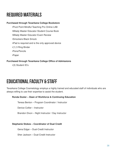# Required Materials

### **Purchased through Texarkana College Bookstore**

- •Pivot Point Mindful Teaching Pro Online LAB
- •Milady Master Educator Student Course Book
- •Milady Master Educator Exam Review
- •Smockers Black Smock
- •iPad is required and is the only approved device
- •(1) 3 Ring Binder
- •Pens/Pencils
- •Paper

### **Purchased through Texarkana College Office of Admissions**

•(3) Student ID's

# EDUCATIONAL FACULTY & STAFF

Texarkana College Cosmetology employs a highly trained and educated staff of individuals who are always willing to use their expertise to assist the student.

### **Ronda Dozier – Dean of Workforce & Continuing Education**

Teresa Benton – Program Coordinator / Instructor

Denice Collier – Instructor

Brandon Dixon – Night Instructor / Day Instructor

### **Stephanie Stokes – Coordinator of Dual Credit**

Gena Edgar – Dual-Credit Instructor

Sher Jackson – Dual-Credit Instructor